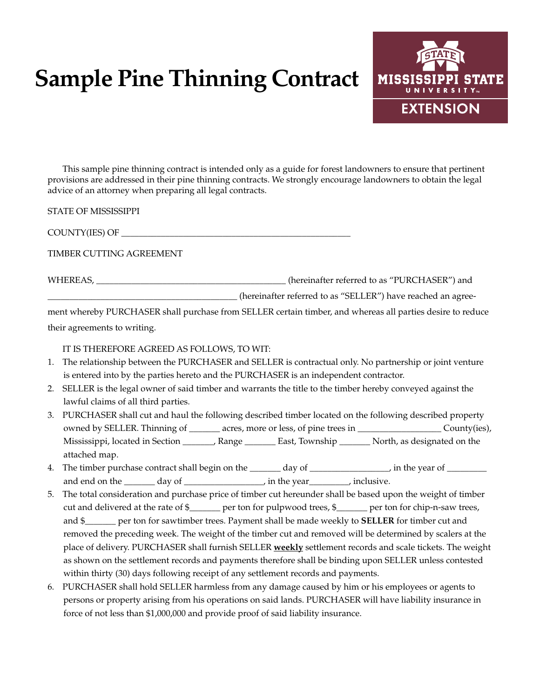# **Sample Pine Thinning Contract**



This sample pine thinning contract is intended only as a guide for forest landowners to ensure that pertinent provisions are addressed in their pine thinning contracts. We strongly encourage landowners to obtain the legal advice of an attorney when preparing all legal contracts.

STATE OF MISSISSIPPI

COUNTY(IES) OF \_\_\_\_\_\_\_\_\_\_\_\_\_\_\_\_\_\_\_\_\_\_\_\_\_\_\_\_\_\_\_\_\_\_\_\_\_\_\_\_\_\_\_\_\_\_\_\_\_\_\_\_

TIMBER CUTTING AGREEMENT

WHEREAS, \_\_\_\_\_\_\_\_\_\_\_\_\_\_\_\_\_\_\_\_\_\_\_\_\_\_\_\_\_\_\_\_\_\_\_\_\_\_\_\_\_\_\_ (hereinafter referred to as "PURCHASER") and \_\_\_\_\_\_\_\_\_\_\_\_\_\_\_\_\_\_\_\_\_\_\_\_\_\_\_\_\_\_\_\_\_\_\_\_\_\_\_\_\_\_\_ (hereinafter referred to as "SELLER") have reached an agree-

ment whereby PURCHASER shall purchase from SELLER certain timber, and whereas all parties desire to reduce

their agreements to writing.

IT IS THEREFORE AGREED AS FOLLOWS, TO WIT:

- 1. The relationship between the PURCHASER and SELLER is contractual only. No partnership or joint venture is entered into by the parties hereto and the PURCHASER is an independent contractor.
- 2. SELLER is the legal owner of said timber and warrants the title to the timber hereby conveyed against the lawful claims of all third parties.
- 3. PURCHASER shall cut and haul the following described timber located on the following described property owned by SELLER. Thinning of \_\_\_\_\_\_\_ acres, more or less, of pine trees in \_\_\_\_\_\_\_\_\_\_\_\_\_\_\_\_\_\_\_ County(ies), Mississippi, located in Section \_\_\_\_\_\_\_, Range \_\_\_\_\_\_\_ East, Township \_\_\_\_\_\_\_ North, as designated on the attached map.
- 4. The timber purchase contract shall begin on the \_\_\_\_\_\_ day of \_\_\_\_\_\_\_\_\_\_\_\_\_\_, in the year of \_\_\_\_\_\_\_\_\_ and end on the day of the vear the vear the vertex of the vear  $\alpha$ , inclusive.
- 5. The total consideration and purchase price of timber cut hereunder shall be based upon the weight of timber cut and delivered at the rate of \$\_\_\_\_\_\_\_ per ton for pulpwood trees, \$\_\_\_\_\_\_\_ per ton for chip-n-saw trees, and \$\_\_\_\_\_\_\_ per ton for sawtimber trees. Payment shall be made weekly to **SELLER** for timber cut and removed the preceding week. The weight of the timber cut and removed will be determined by scalers at the place of delivery. PURCHASER shall furnish SELLER **weekly** settlement records and scale tickets. The weight as shown on the settlement records and payments therefore shall be binding upon SELLER unless contested within thirty (30) days following receipt of any settlement records and payments.
- 6. PURCHASER shall hold SELLER harmless from any damage caused by him or his employees or agents to persons or property arising from his operations on said lands. PURCHASER will have liability insurance in force of not less than \$1,000,000 and provide proof of said liability insurance.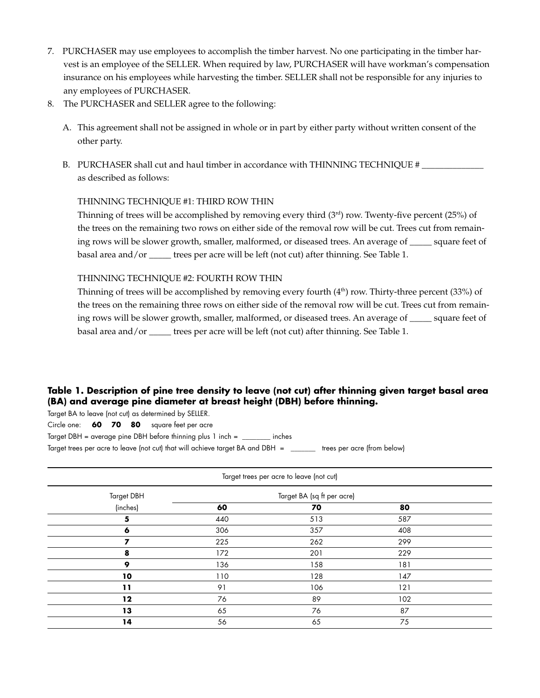- 7. PURCHASER may use employees to accomplish the timber harvest. No one participating in the timber harvest is an employee of the SELLER. When required by law, PURCHASER will have workman's compensation insurance on his employees while harvesting the timber. SELLER shall not be responsible for any injuries to any employees of PURCHASER.
- 8. The PURCHASER and SELLER agree to the following:
	- A. This agreement shall not be assigned in whole or in part by either party without written consent of the other party.
	- B. PURCHASER shall cut and haul timber in accordance with THINNING TECHNIQUE # as described as follows:

## THINNING TECHNIQUE #1: THIRD ROW THIN

Thinning of trees will be accomplished by removing every third  $(3<sup>rd</sup>)$  row. Twenty-five percent (25%) of the trees on the remaining two rows on either side of the removal row will be cut. Trees cut from remaining rows will be slower growth, smaller, malformed, or diseased trees. An average of \_\_\_\_\_ square feet of basal area and/or \_\_\_\_\_ trees per acre will be left (not cut) after thinning. See Table 1.

#### THINNING TECHNIQUE #2: FOURTH ROW THIN

Thinning of trees will be accomplished by removing every fourth (4<sup>th</sup>) row. Thirty-three percent (33%) of the trees on the remaining three rows on either side of the removal row will be cut. Trees cut from remaining rows will be slower growth, smaller, malformed, or diseased trees. An average of \_\_\_\_\_ square feet of basal area and/or \_\_\_\_\_ trees per acre will be left (not cut) after thinning. See Table 1.

# **Table 1. Description of pine tree density to leave (not cut) after thinning given target basal area (BA) and average pine diameter at breast height (DBH) before thinning.**

Target BA to leave (not cut) as determined by SELLER.

Circle one: **60 70 80** square feet per acre

Target DBH = average pine DBH before thinning plus 1 inch = \_\_\_\_\_\_\_\_ inches

Target trees per acre to leave (not cut) that will achieve target BA and DBH = \_\_\_\_\_\_\_ trees per acre (from below)

| Target trees per acre to leave (not cut) |                            |     |     |  |  |  |
|------------------------------------------|----------------------------|-----|-----|--|--|--|
| <b>Target DBH</b>                        | Target BA (sq ft per acre) |     |     |  |  |  |
| (inches)                                 | 60                         | 70  | 80  |  |  |  |
| 5                                        | 440                        | 513 | 587 |  |  |  |
| 6                                        | 306                        | 357 | 408 |  |  |  |
| 7                                        | 225                        | 262 | 299 |  |  |  |
| 8                                        | 172                        | 201 | 229 |  |  |  |
| 9                                        | 136                        | 158 | 181 |  |  |  |
| 10                                       | 110                        | 128 | 147 |  |  |  |
| 11                                       | 91                         | 106 | 121 |  |  |  |
| $12 \,$                                  | 76                         | 89  | 102 |  |  |  |
| 13                                       | 65                         | 76  | 87  |  |  |  |
| 14                                       | 56                         | 65  | 75  |  |  |  |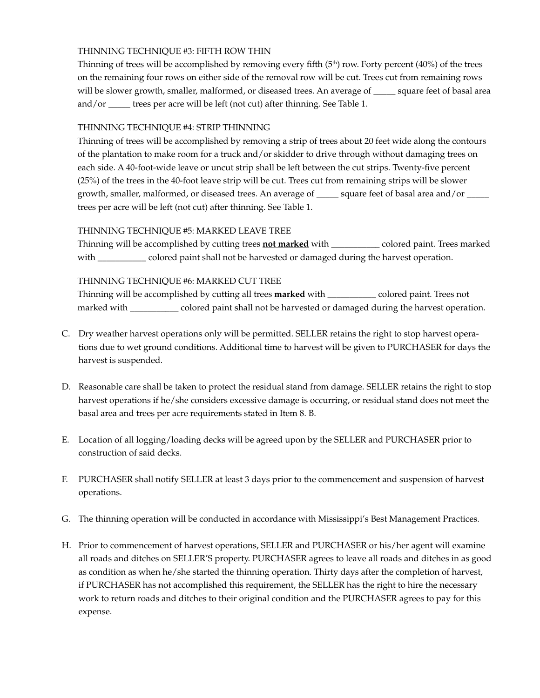# THINNING TECHNIQUE #3: FIFTH ROW THIN

Thinning of trees will be accomplished by removing every fifth  $(5<sup>th</sup>)$  row. Forty percent (40%) of the trees on the remaining four rows on either side of the removal row will be cut. Trees cut from remaining rows will be slower growth, smaller, malformed, or diseased trees. An average of \_\_\_\_\_ square feet of basal area and/or \_\_\_\_\_ trees per acre will be left (not cut) after thinning. See Table 1.

# THINNING TECHNIQUE #4: STRIP THINNING

Thinning of trees will be accomplished by removing a strip of trees about 20 feet wide along the contours of the plantation to make room for a truck and/or skidder to drive through without damaging trees on each side. A 40-foot-wide leave or uncut strip shall be left between the cut strips. Twenty-five percent (25%) of the trees in the 40-foot leave strip will be cut. Trees cut from remaining strips will be slower growth, smaller, malformed, or diseased trees. An average of \_\_\_\_\_ square feet of basal area and/or \_\_ trees per acre will be left (not cut) after thinning. See Table 1.

## THINNING TECHNIQUE #5: MARKED LEAVE TREE

Thinning will be accomplished by cutting trees **not marked** with \_\_\_\_\_\_\_\_\_\_\_ colored paint. Trees marked with \_\_\_\_\_\_\_\_\_\_\_\_ colored paint shall not be harvested or damaged during the harvest operation.

## THINNING TECHNIQUE #6: MARKED CUT TREE

Thinning will be accomplished by cutting all trees **marked** with \_\_\_\_\_\_\_\_\_\_\_ colored paint. Trees not marked with \_\_\_\_\_\_\_\_\_\_\_ colored paint shall not be harvested or damaged during the harvest operation.

- C. Dry weather harvest operations only will be permitted. SELLER retains the right to stop harvest operations due to wet ground conditions. Additional time to harvest will be given to PURCHASER for days the harvest is suspended.
- D. Reasonable care shall be taken to protect the residual stand from damage. SELLER retains the right to stop harvest operations if he/she considers excessive damage is occurring, or residual stand does not meet the basal area and trees per acre requirements stated in Item 8. B.
- E. Location of all logging/loading decks will be agreed upon by the SELLER and PURCHASER prior to construction of said decks.
- F. PURCHASER shall notify SELLER at least 3 days prior to the commencement and suspension of harvest operations.
- G. The thinning operation will be conducted in accordance with Mississippi's Best Management Practices.
- H. Prior to commencement of harvest operations, SELLER and PURCHASER or his/her agent will examine all roads and ditches on SELLER'S property. PURCHASER agrees to leave all roads and ditches in as good as condition as when he/she started the thinning operation. Thirty days after the completion of harvest, if PURCHASER has not accomplished this requirement, the SELLER has the right to hire the necessary work to return roads and ditches to their original condition and the PURCHASER agrees to pay for this expense.